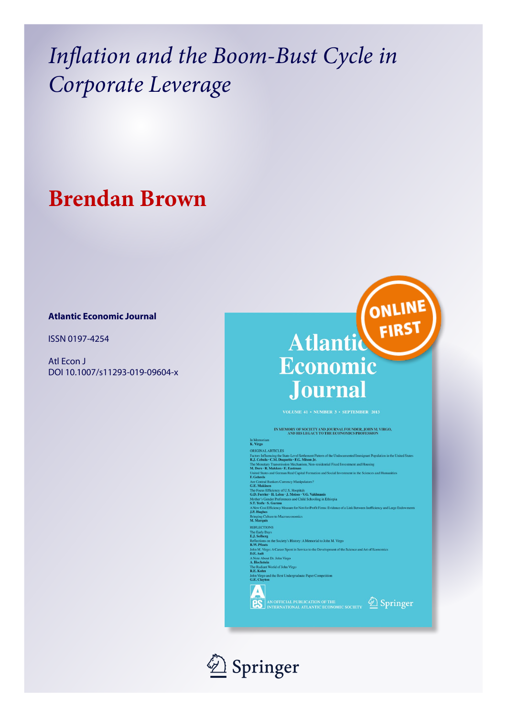## **Brendan Brown**

## **Atlantic Economic Journal**

ISSN 0197-4254

Atl Econ J DOI 10.1007/s11293-019-09604-x



IN MEMORY OF SOCIETY AND JOURNAL FOUNDER, JOHN M. VIRGO,<br>AND HIS LEGACY TO THE ECONOMICS PROFESSION

In Memoriam<br>K. Virgo K. Virgo<br>
ORIGINALARTICLES<br>
ORIGINALARTICLES<br>
Teators Influencing the State-Level Settlement Pattern of the Undocumented Immigrant Population in the United States<br>
Rolley C. Chulus - C.M. Duquette - R.G. Mison Jr.<br>
The Mon United States and German Real Capital Formation and Social Investment in the Sciences and Humanities<br>
AF. Gehrels<br>
AF. Gehrels<br>
AF. German Bankers Currency Manipulators?<br>
The Focuse Efficiency of U.S. Hospitals<br>
G.B. Makin REFLECTIONS REPLECTIONS<br>The Early Days<br>The Early Days<br>Reflections on the Society's History: A Memorial to John M. Virgo<br>Reflections on the Society's History: A Memorial to John M. Virgo<br>John M. Virgo: A Career Spent in Service to the John M. Vrgo: A Career Spent in S<br>
D.E. Ault<br>
A Note About Dr. John Virgo<br>
A. Hochstein<br>
The Radiant World of John Virgo<br>
R.E. Kohn<br>
Virgo and the Beet Underwad The Radiant World of John Virgo<br>R.E. Kohn<br>John Virgo and the Best Undergraduate Paper Competition<br>G.E. Clayton AN OFFICIAL PUBLICATION OF THE SPITING SOCIETY 2 Springer

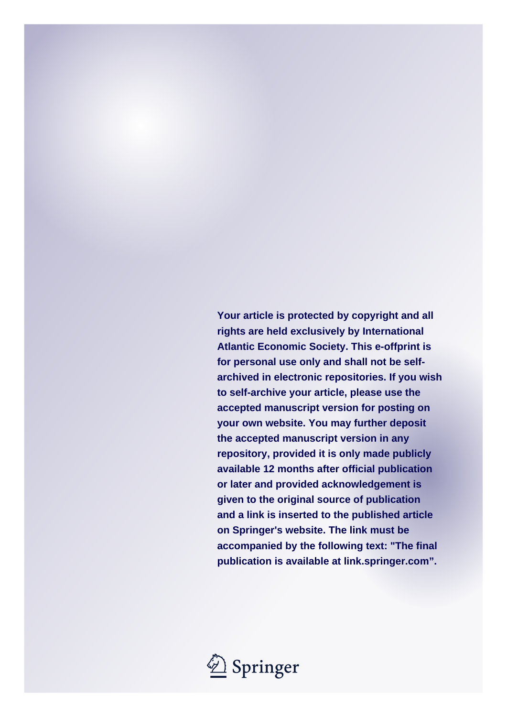**Your article is protected by copyright and all rights are held exclusively by International Atlantic Economic Society. This e-offprint is for personal use only and shall not be selfarchived in electronic repositories. If you wish to self-archive your article, please use the accepted manuscript version for posting on your own website. You may further deposit the accepted manuscript version in any repository, provided it is only made publicly available 12 months after official publication or later and provided acknowledgement is given to the original source of publication and a link is inserted to the published article on Springer's website. The link must be accompanied by the following text: "The final publication is available at link.springer.com".**

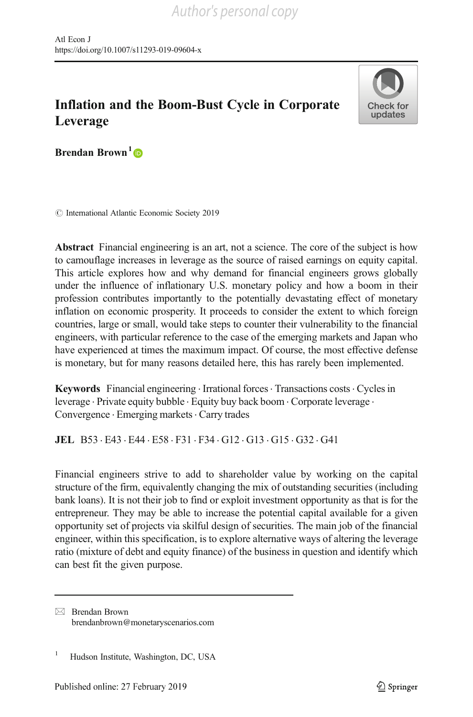

Brendan Brown<sup>1</sup> $\mathbf{\odot}$ 

 $\odot$  International Atlantic Economic Society 2019

Abstract Financial engineering is an art, not a science. The core of the subject is how to camouflage increases in leverage as the source of raised earnings on equity capital. This article explores how and why demand for financial engineers grows globally under the influence of inflationary U.S. monetary policy and how a boom in their profession contributes importantly to the potentially devastating effect of monetary inflation on economic prosperity. It proceeds to consider the extent to which foreign countries, large or small, would take steps to counter their vulnerability to the financial engineers, with particular reference to the case of the emerging markets and Japan who have experienced at times the maximum impact. Of course, the most effective defense is monetary, but for many reasons detailed here, this has rarely been implemented.

**Keywords** Financial engineering  $\cdot$  Irrational forces  $\cdot$  Transactions costs  $\cdot$  Cycles in leverage . Private equity bubble . Equity buy back boom . Corporate leverage . Convergence · Emerging markets · Carry trades

JEL B53 . E43 . E44 . E58 . F31 . F34 . G12 . G13 . G15 . G32 . G41

Financial engineers strive to add to shareholder value by working on the capital structure of the firm, equivalently changing the mix of outstanding securities (including bank loans). It is not their job to find or exploit investment opportunity as that is for the entrepreneur. They may be able to increase the potential capital available for a given opportunity set of projects via skilful design of securities. The main job of the financial engineer, within this specification, is to explore alternative ways of altering the leverage ratio (mixture of debt and equity finance) of the business in question and identify which can best fit the given purpose.

 $\boxtimes$  Brendan Brown [brendanbrown@monetaryscenarios.com](mailto:brendanbrown@monetaryscenarios.com)

<sup>&</sup>lt;sup>1</sup> Hudson Institute, Washington, DC, USA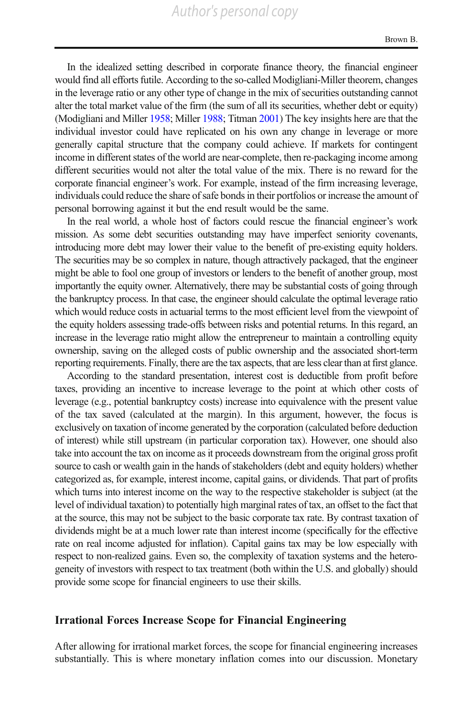In the idealized setting described in corporate finance theory, the financial engineer would find all efforts futile. According to the so-called Modigliani-Miller theorem, changes in the leverage ratio or any other type of change in the mix of securities outstanding cannot alter the total market value of the firm (the sum of all its securities, whether debt or equity) (Modigliani and Miller [1958](#page-11-0); Miller [1988](#page-11-0); Titman [2001\)](#page-11-0) The key insights here are that the individual investor could have replicated on his own any change in leverage or more generally capital structure that the company could achieve. If markets for contingent income in different states of the world are near-complete, then re-packaging income among different securities would not alter the total value of the mix. There is no reward for the corporate financial engineer's work. For example, instead of the firm increasing leverage, individuals could reduce the share of safe bonds in their portfolios or increase the amount of personal borrowing against it but the end result would be the same.

In the real world, a whole host of factors could rescue the financial engineer's work mission. As some debt securities outstanding may have imperfect seniority covenants, introducing more debt may lower their value to the benefit of pre-existing equity holders. The securities may be so complex in nature, though attractively packaged, that the engineer might be able to fool one group of investors or lenders to the benefit of another group, most importantly the equity owner. Alternatively, there may be substantial costs of going through the bankruptcy process. In that case, the engineer should calculate the optimal leverage ratio which would reduce costs in actuarial terms to the most efficient level from the viewpoint of the equity holders assessing trade-offs between risks and potential returns. In this regard, an increase in the leverage ratio might allow the entrepreneur to maintain a controlling equity ownership, saving on the alleged costs of public ownership and the associated short-term reporting requirements. Finally, there are the tax aspects, that are less clear than at first glance.

According to the standard presentation, interest cost is deductible from profit before taxes, providing an incentive to increase leverage to the point at which other costs of leverage (e.g., potential bankruptcy costs) increase into equivalence with the present value of the tax saved (calculated at the margin). In this argument, however, the focus is exclusively on taxation of income generated by the corporation (calculated before deduction of interest) while still upstream (in particular corporation tax). However, one should also take into account the tax on income as it proceeds downstream from the original gross profit source to cash or wealth gain in the hands of stakeholders (debt and equity holders) whether categorized as, for example, interest income, capital gains, or dividends. That part of profits which turns into interest income on the way to the respective stakeholder is subject (at the level of individual taxation) to potentially high marginal rates of tax, an offset to the fact that at the source, this may not be subject to the basic corporate tax rate. By contrast taxation of dividends might be at a much lower rate than interest income (specifically for the effective rate on real income adjusted for inflation). Capital gains tax may be low especially with respect to non-realized gains. Even so, the complexity of taxation systems and the heterogeneity of investors with respect to tax treatment (both within the U.S. and globally) should provide some scope for financial engineers to use their skills.

#### Irrational Forces Increase Scope for Financial Engineering

After allowing for irrational market forces, the scope for financial engineering increases substantially. This is where monetary inflation comes into our discussion. Monetary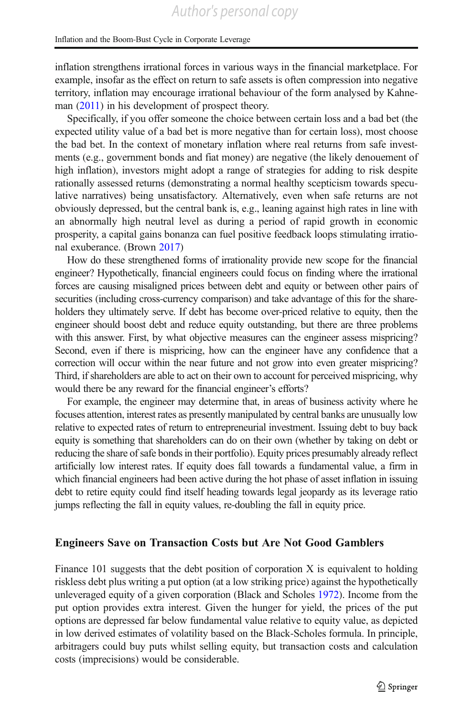inflation strengthens irrational forces in various ways in the financial marketplace. For example, insofar as the effect on return to safe assets is often compression into negative territory, inflation may encourage irrational behaviour of the form analysed by Kahneman ([2011](#page-11-0)) in his development of prospect theory.

Specifically, if you offer someone the choice between certain loss and a bad bet (the expected utility value of a bad bet is more negative than for certain loss), most choose the bad bet. In the context of monetary inflation where real returns from safe investments (e.g., government bonds and fiat money) are negative (the likely denouement of high inflation), investors might adopt a range of strategies for adding to risk despite rationally assessed returns (demonstrating a normal healthy scepticism towards speculative narratives) being unsatisfactory. Alternatively, even when safe returns are not obviously depressed, but the central bank is, e.g., leaning against high rates in line with an abnormally high neutral level as during a period of rapid growth in economic prosperity, a capital gains bonanza can fuel positive feedback loops stimulating irrational exuberance. (Brown [2017](#page-11-0))

How do these strengthened forms of irrationality provide new scope for the financial engineer? Hypothetically, financial engineers could focus on finding where the irrational forces are causing misaligned prices between debt and equity or between other pairs of securities (including cross-currency comparison) and take advantage of this for the shareholders they ultimately serve. If debt has become over-priced relative to equity, then the engineer should boost debt and reduce equity outstanding, but there are three problems with this answer. First, by what objective measures can the engineer assess mispricing? Second, even if there is mispricing, how can the engineer have any confidence that a correction will occur within the near future and not grow into even greater mispricing? Third, if shareholders are able to act on their own to account for perceived mispricing, why would there be any reward for the financial engineer's efforts?

For example, the engineer may determine that, in areas of business activity where he focuses attention, interest rates as presently manipulated by central banks are unusually low relative to expected rates of return to entrepreneurial investment. Issuing debt to buy back equity is something that shareholders can do on their own (whether by taking on debt or reducing the share of safe bonds in their portfolio). Equity prices presumably already reflect artificially low interest rates. If equity does fall towards a fundamental value, a firm in which financial engineers had been active during the hot phase of asset inflation in issuing debt to retire equity could find itself heading towards legal jeopardy as its leverage ratio jumps reflecting the fall in equity values, re-doubling the fall in equity price.

## Engineers Save on Transaction Costs but Are Not Good Gamblers

Finance 101 suggests that the debt position of corporation  $X$  is equivalent to holding riskless debt plus writing a put option (at a low striking price) against the hypothetically unleveraged equity of a given corporation (Black and Scholes [1972\)](#page-11-0). Income from the put option provides extra interest. Given the hunger for yield, the prices of the put options are depressed far below fundamental value relative to equity value, as depicted in low derived estimates of volatility based on the Black-Scholes formula. In principle, arbitragers could buy puts whilst selling equity, but transaction costs and calculation costs (imprecisions) would be considerable.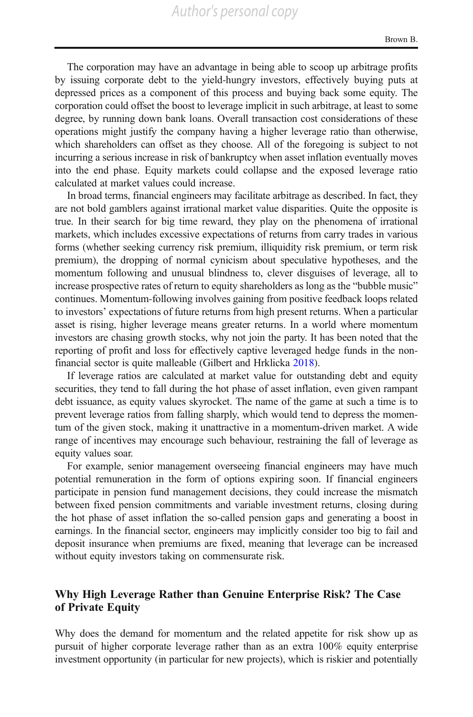The corporation may have an advantage in being able to scoop up arbitrage profits by issuing corporate debt to the yield-hungry investors, effectively buying puts at depressed prices as a component of this process and buying back some equity. The corporation could offset the boost to leverage implicit in such arbitrage, at least to some degree, by running down bank loans. Overall transaction cost considerations of these operations might justify the company having a higher leverage ratio than otherwise, which shareholders can offset as they choose. All of the foregoing is subject to not incurring a serious increase in risk of bankruptcy when asset inflation eventually moves into the end phase. Equity markets could collapse and the exposed leverage ratio calculated at market values could increase.

In broad terms, financial engineers may facilitate arbitrage as described. In fact, they are not bold gamblers against irrational market value disparities. Quite the opposite is true. In their search for big time reward, they play on the phenomena of irrational markets, which includes excessive expectations of returns from carry trades in various forms (whether seeking currency risk premium, illiquidity risk premium, or term risk premium), the dropping of normal cynicism about speculative hypotheses, and the momentum following and unusual blindness to, clever disguises of leverage, all to increase prospective rates of return to equity shareholders as long as the "bubble music" continues. Momentum-following involves gaining from positive feedback loops related to investors' expectations of future returns from high present returns. When a particular asset is rising, higher leverage means greater returns. In a world where momentum investors are chasing growth stocks, why not join the party. It has been noted that the reporting of profit and loss for effectively captive leveraged hedge funds in the nonfinancial sector is quite malleable (Gilbert and Hrklicka [2018\)](#page-11-0).

If leverage ratios are calculated at market value for outstanding debt and equity securities, they tend to fall during the hot phase of asset inflation, even given rampant debt issuance, as equity values skyrocket. The name of the game at such a time is to prevent leverage ratios from falling sharply, which would tend to depress the momentum of the given stock, making it unattractive in a momentum-driven market. A wide range of incentives may encourage such behaviour, restraining the fall of leverage as equity values soar.

For example, senior management overseeing financial engineers may have much potential remuneration in the form of options expiring soon. If financial engineers participate in pension fund management decisions, they could increase the mismatch between fixed pension commitments and variable investment returns, closing during the hot phase of asset inflation the so-called pension gaps and generating a boost in earnings. In the financial sector, engineers may implicitly consider too big to fail and deposit insurance when premiums are fixed, meaning that leverage can be increased without equity investors taking on commensurate risk.

## Why High Leverage Rather than Genuine Enterprise Risk? The Case of Private Equity

Why does the demand for momentum and the related appetite for risk show up as pursuit of higher corporate leverage rather than as an extra 100% equity enterprise investment opportunity (in particular for new projects), which is riskier and potentially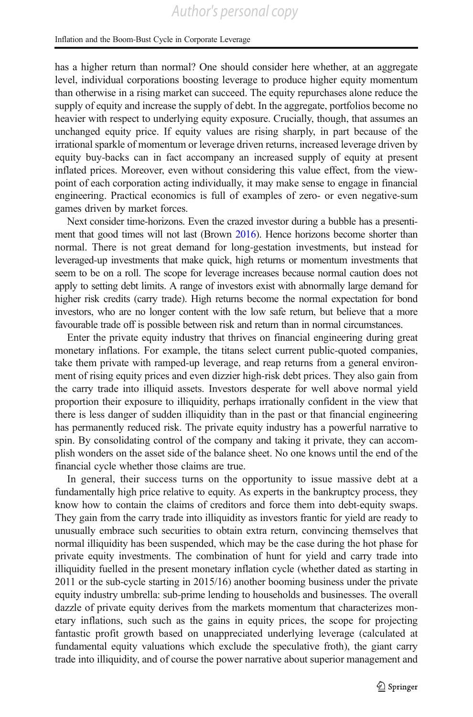has a higher return than normal? One should consider here whether, at an aggregate level, individual corporations boosting leverage to produce higher equity momentum than otherwise in a rising market can succeed. The equity repurchases alone reduce the supply of equity and increase the supply of debt. In the aggregate, portfolios become no heavier with respect to underlying equity exposure. Crucially, though, that assumes an unchanged equity price. If equity values are rising sharply, in part because of the irrational sparkle of momentum or leverage driven returns, increased leverage driven by equity buy-backs can in fact accompany an increased supply of equity at present inflated prices. Moreover, even without considering this value effect, from the viewpoint of each corporation acting individually, it may make sense to engage in financial engineering. Practical economics is full of examples of zero- or even negative-sum games driven by market forces.

Next consider time-horizons. Even the crazed investor during a bubble has a presentiment that good times will not last (Brown [2016\)](#page-11-0). Hence horizons become shorter than normal. There is not great demand for long-gestation investments, but instead for leveraged-up investments that make quick, high returns or momentum investments that seem to be on a roll. The scope for leverage increases because normal caution does not apply to setting debt limits. A range of investors exist with abnormally large demand for higher risk credits (carry trade). High returns become the normal expectation for bond investors, who are no longer content with the low safe return, but believe that a more favourable trade off is possible between risk and return than in normal circumstances.

Enter the private equity industry that thrives on financial engineering during great monetary inflations. For example, the titans select current public-quoted companies, take them private with ramped-up leverage, and reap returns from a general environment of rising equity prices and even dizzier high-risk debt prices. They also gain from the carry trade into illiquid assets. Investors desperate for well above normal yield proportion their exposure to illiquidity, perhaps irrationally confident in the view that there is less danger of sudden illiquidity than in the past or that financial engineering has permanently reduced risk. The private equity industry has a powerful narrative to spin. By consolidating control of the company and taking it private, they can accomplish wonders on the asset side of the balance sheet. No one knows until the end of the financial cycle whether those claims are true.

In general, their success turns on the opportunity to issue massive debt at a fundamentally high price relative to equity. As experts in the bankruptcy process, they know how to contain the claims of creditors and force them into debt-equity swaps. They gain from the carry trade into illiquidity as investors frantic for yield are ready to unusually embrace such securities to obtain extra return, convincing themselves that normal illiquidity has been suspended, which may be the case during the hot phase for private equity investments. The combination of hunt for yield and carry trade into illiquidity fuelled in the present monetary inflation cycle (whether dated as starting in 2011 or the sub-cycle starting in 2015/16) another booming business under the private equity industry umbrella: sub-prime lending to households and businesses. The overall dazzle of private equity derives from the markets momentum that characterizes monetary inflations, such such as the gains in equity prices, the scope for projecting fantastic profit growth based on unappreciated underlying leverage (calculated at fundamental equity valuations which exclude the speculative froth), the giant carry trade into illiquidity, and of course the power narrative about superior management and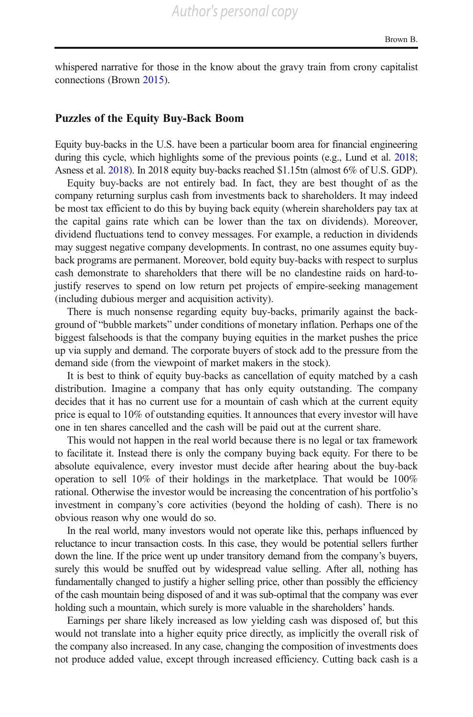whispered narrative for those in the know about the gravy train from crony capitalist connections (Brown [2015](#page-11-0)).

#### Puzzles of the Equity Buy-Back Boom

Equity buy-backs in the U.S. have been a particular boom area for financial engineering during this cycle, which highlights some of the previous points (e.g., Lund et al. [2018;](#page-11-0) Asness et al. [2018\)](#page-11-0). In 2018 equity buy-backs reached \$1.15tn (almost 6% of U.S. GDP).

Equity buy-backs are not entirely bad. In fact, they are best thought of as the company returning surplus cash from investments back to shareholders. It may indeed be most tax efficient to do this by buying back equity (wherein shareholders pay tax at the capital gains rate which can be lower than the tax on dividends). Moreover, dividend fluctuations tend to convey messages. For example, a reduction in dividends may suggest negative company developments. In contrast, no one assumes equity buyback programs are permanent. Moreover, bold equity buy-backs with respect to surplus cash demonstrate to shareholders that there will be no clandestine raids on hard-tojustify reserves to spend on low return pet projects of empire-seeking management (including dubious merger and acquisition activity).

There is much nonsense regarding equity buy-backs, primarily against the background of "bubble markets" under conditions of monetary inflation. Perhaps one of the biggest falsehoods is that the company buying equities in the market pushes the price up via supply and demand. The corporate buyers of stock add to the pressure from the demand side (from the viewpoint of market makers in the stock).

It is best to think of equity buy-backs as cancellation of equity matched by a cash distribution. Imagine a company that has only equity outstanding. The company decides that it has no current use for a mountain of cash which at the current equity price is equal to 10% of outstanding equities. It announces that every investor will have one in ten shares cancelled and the cash will be paid out at the current share.

This would not happen in the real world because there is no legal or tax framework to facilitate it. Instead there is only the company buying back equity. For there to be absolute equivalence, every investor must decide after hearing about the buy-back operation to sell 10% of their holdings in the marketplace. That would be 100% rational. Otherwise the investor would be increasing the concentration of his portfolio's investment in company's core activities (beyond the holding of cash). There is no obvious reason why one would do so.

In the real world, many investors would not operate like this, perhaps influenced by reluctance to incur transaction costs. In this case, they would be potential sellers further down the line. If the price went up under transitory demand from the company's buyers, surely this would be snuffed out by widespread value selling. After all, nothing has fundamentally changed to justify a higher selling price, other than possibly the efficiency of the cash mountain being disposed of and it was sub-optimal that the company was ever holding such a mountain, which surely is more valuable in the shareholders' hands.

Earnings per share likely increased as low yielding cash was disposed of, but this would not translate into a higher equity price directly, as implicitly the overall risk of the company also increased. In any case, changing the composition of investments does not produce added value, except through increased efficiency. Cutting back cash is a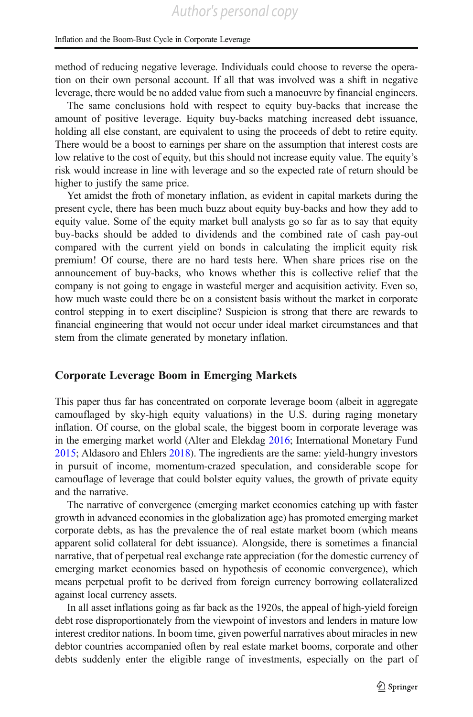method of reducing negative leverage. Individuals could choose to reverse the operation on their own personal account. If all that was involved was a shift in negative leverage, there would be no added value from such a manoeuvre by financial engineers.

The same conclusions hold with respect to equity buy-backs that increase the amount of positive leverage. Equity buy-backs matching increased debt issuance, holding all else constant, are equivalent to using the proceeds of debt to retire equity. There would be a boost to earnings per share on the assumption that interest costs are low relative to the cost of equity, but this should not increase equity value. The equity's risk would increase in line with leverage and so the expected rate of return should be higher to justify the same price.

Yet amidst the froth of monetary inflation, as evident in capital markets during the present cycle, there has been much buzz about equity buy-backs and how they add to equity value. Some of the equity market bull analysts go so far as to say that equity buy-backs should be added to dividends and the combined rate of cash pay-out compared with the current yield on bonds in calculating the implicit equity risk premium! Of course, there are no hard tests here. When share prices rise on the announcement of buy-backs, who knows whether this is collective relief that the company is not going to engage in wasteful merger and acquisition activity. Even so, how much waste could there be on a consistent basis without the market in corporate control stepping in to exert discipline? Suspicion is strong that there are rewards to financial engineering that would not occur under ideal market circumstances and that stem from the climate generated by monetary inflation.

## Corporate Leverage Boom in Emerging Markets

This paper thus far has concentrated on corporate leverage boom (albeit in aggregate camouflaged by sky-high equity valuations) in the U.S. during raging monetary inflation. Of course, on the global scale, the biggest boom in corporate leverage was in the emerging market world (Alter and Elekdag [2016](#page-11-0); International Monetary Fund [2015;](#page-11-0) Aldasoro and Ehlers [2018\)](#page-11-0). The ingredients are the same: yield-hungry investors in pursuit of income, momentum-crazed speculation, and considerable scope for camouflage of leverage that could bolster equity values, the growth of private equity and the narrative.

The narrative of convergence (emerging market economies catching up with faster growth in advanced economies in the globalization age) has promoted emerging market corporate debts, as has the prevalence the of real estate market boom (which means apparent solid collateral for debt issuance). Alongside, there is sometimes a financial narrative, that of perpetual real exchange rate appreciation (for the domestic currency of emerging market economies based on hypothesis of economic convergence), which means perpetual profit to be derived from foreign currency borrowing collateralized against local currency assets.

In all asset inflations going as far back as the 1920s, the appeal of high-yield foreign debt rose disproportionately from the viewpoint of investors and lenders in mature low interest creditor nations. In boom time, given powerful narratives about miracles in new debtor countries accompanied often by real estate market booms, corporate and other debts suddenly enter the eligible range of investments, especially on the part of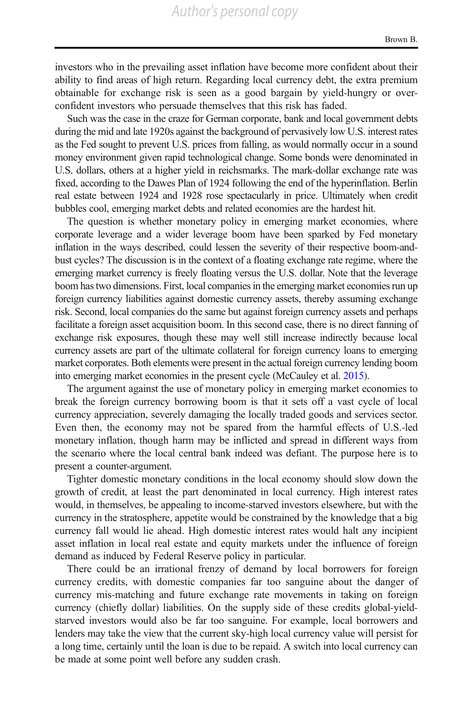investors who in the prevailing asset inflation have become more confident about their ability to find areas of high return. Regarding local currency debt, the extra premium obtainable for exchange risk is seen as a good bargain by yield-hungry or overconfident investors who persuade themselves that this risk has faded.

Such was the case in the craze for German corporate, bank and local government debts during the mid and late 1920s against the background of pervasively low U.S. interest rates as the Fed sought to prevent U.S. prices from falling, as would normally occur in a sound money environment given rapid technological change. Some bonds were denominated in U.S. dollars, others at a higher yield in reichsmarks. The mark-dollar exchange rate was fixed, according to the Dawes Plan of 1924 following the end of the hyperinflation. Berlin real estate between 1924 and 1928 rose spectacularly in price. Ultimately when credit bubbles cool, emerging market debts and related economies are the hardest hit.

The question is whether monetary policy in emerging market economies, where corporate leverage and a wider leverage boom have been sparked by Fed monetary inflation in the ways described, could lessen the severity of their respective boom-andbust cycles? The discussion is in the context of a floating exchange rate regime, where the emerging market currency is freely floating versus the U.S. dollar. Note that the leverage boom has two dimensions. First, local companies in the emerging market economies run up foreign currency liabilities against domestic currency assets, thereby assuming exchange risk. Second, local companies do the same but against foreign currency assets and perhaps facilitate a foreign asset acquisition boom. In this second case, there is no direct fanning of exchange risk exposures, though these may well still increase indirectly because local currency assets are part of the ultimate collateral for foreign currency loans to emerging market corporates. Both elements were present in the actual foreign currency lending boom into emerging market economies in the present cycle (McCauley et al. [2015](#page-11-0)).

The argument against the use of monetary policy in emerging market economies to break the foreign currency borrowing boom is that it sets off a vast cycle of local currency appreciation, severely damaging the locally traded goods and services sector. Even then, the economy may not be spared from the harmful effects of U.S.-led monetary inflation, though harm may be inflicted and spread in different ways from the scenario where the local central bank indeed was defiant. The purpose here is to present a counter-argument.

Tighter domestic monetary conditions in the local economy should slow down the growth of credit, at least the part denominated in local currency. High interest rates would, in themselves, be appealing to income-starved investors elsewhere, but with the currency in the stratosphere, appetite would be constrained by the knowledge that a big currency fall would lie ahead. High domestic interest rates would halt any incipient asset inflation in local real estate and equity markets under the influence of foreign demand as induced by Federal Reserve policy in particular.

There could be an irrational frenzy of demand by local borrowers for foreign currency credits, with domestic companies far too sanguine about the danger of currency mis-matching and future exchange rate movements in taking on foreign currency (chiefly dollar) liabilities. On the supply side of these credits global-yieldstarved investors would also be far too sanguine. For example, local borrowers and lenders may take the view that the current sky-high local currency value will persist for a long time, certainly until the loan is due to be repaid. A switch into local currency can be made at some point well before any sudden crash.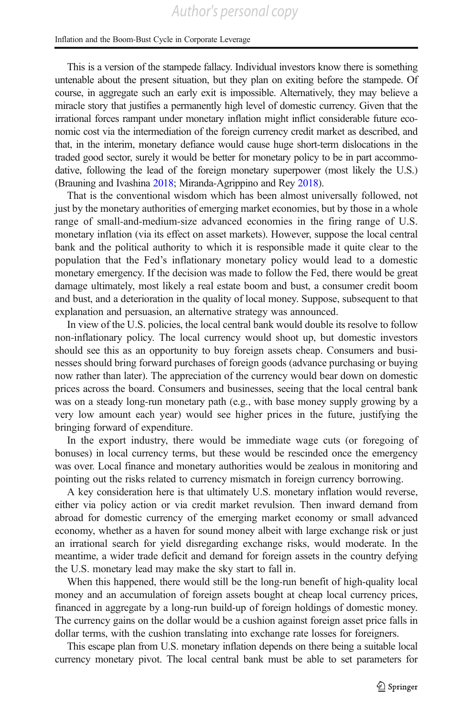This is a version of the stampede fallacy. Individual investors know there is something untenable about the present situation, but they plan on exiting before the stampede. Of course, in aggregate such an early exit is impossible. Alternatively, they may believe a miracle story that justifies a permanently high level of domestic currency. Given that the irrational forces rampant under monetary inflation might inflict considerable future economic cost via the intermediation of the foreign currency credit market as described, and that, in the interim, monetary defiance would cause huge short-term dislocations in the traded good sector, surely it would be better for monetary policy to be in part accommodative, following the lead of the foreign monetary superpower (most likely the U.S.) (Brauning and Ivashina [2018](#page-11-0); Miranda-Agrippino and Rey [2018\)](#page-11-0).

That is the conventional wisdom which has been almost universally followed, not just by the monetary authorities of emerging market economies, but by those in a whole range of small-and-medium-size advanced economies in the firing range of U.S. monetary inflation (via its effect on asset markets). However, suppose the local central bank and the political authority to which it is responsible made it quite clear to the population that the Fed's inflationary monetary policy would lead to a domestic monetary emergency. If the decision was made to follow the Fed, there would be great damage ultimately, most likely a real estate boom and bust, a consumer credit boom and bust, and a deterioration in the quality of local money. Suppose, subsequent to that explanation and persuasion, an alternative strategy was announced.

In view of the U.S. policies, the local central bank would double its resolve to follow non-inflationary policy. The local currency would shoot up, but domestic investors should see this as an opportunity to buy foreign assets cheap. Consumers and businesses should bring forward purchases of foreign goods (advance purchasing or buying now rather than later). The appreciation of the currency would bear down on domestic prices across the board. Consumers and businesses, seeing that the local central bank was on a steady long-run monetary path (e.g., with base money supply growing by a very low amount each year) would see higher prices in the future, justifying the bringing forward of expenditure.

In the export industry, there would be immediate wage cuts (or foregoing of bonuses) in local currency terms, but these would be rescinded once the emergency was over. Local finance and monetary authorities would be zealous in monitoring and pointing out the risks related to currency mismatch in foreign currency borrowing.

A key consideration here is that ultimately U.S. monetary inflation would reverse, either via policy action or via credit market revulsion. Then inward demand from abroad for domestic currency of the emerging market economy or small advanced economy, whether as a haven for sound money albeit with large exchange risk or just an irrational search for yield disregarding exchange risks, would moderate. In the meantime, a wider trade deficit and demand for foreign assets in the country defying the U.S. monetary lead may make the sky start to fall in.

When this happened, there would still be the long-run benefit of high-quality local money and an accumulation of foreign assets bought at cheap local currency prices, financed in aggregate by a long-run build-up of foreign holdings of domestic money. The currency gains on the dollar would be a cushion against foreign asset price falls in dollar terms, with the cushion translating into exchange rate losses for foreigners.

This escape plan from U.S. monetary inflation depends on there being a suitable local currency monetary pivot. The local central bank must be able to set parameters for